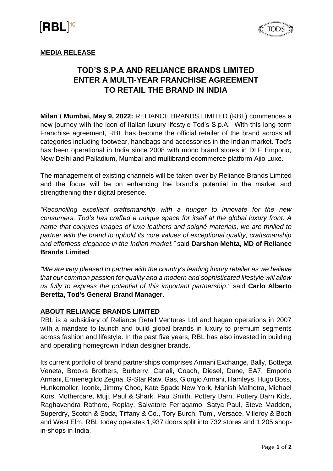# **IRBL**<sup>10</sup>



### **MEDIA RELEASE**

## **TOD'S S.P.A AND RELIANCE BRANDS LIMITED ENTER A MULTI-YEAR FRANCHISE AGREEMENT TO RETAIL THE BRAND IN INDIA**

**Milan / Mumbai, May 9, 2022:** RELIANCE BRANDS LIMITED (RBL) commences a new journey with the icon of Italian luxury lifestyle Tod's S.p.A. With this long-term Franchise agreement, RBL has become the official retailer of the brand across all categories including footwear, handbags and accessories in the Indian market. Tod's has been operational in India since 2008 with mono brand stores in DLF Emporio, New Delhi and Palladium, Mumbai and multibrand ecommerce platform Ajio Luxe.

The management of existing channels will be taken over by Reliance Brands Limited and the focus will be on enhancing the brand's potential in the market and strengthening their digital presence.

*"Reconciling excellent craftsmanship with a hunger to innovate for the new consumers, Tod's has crafted a unique space for itself at the global luxury front. A name that conjures images of luxe leathers and soigné materials, we are thrilled to partner with the brand to uphold its core values of exceptional quality, craftsmanship and effortless elegance in the Indian market."* said **Darshan Mehta, MD of Reliance Brands Limited**.

*"We are very pleased to partner with the country's leading luxury retailer as we believe that our common passion for quality and a modern and sophisticated lifestyle will allow us fully to express the potential of this important partnership."* said **Carlo Alberto Beretta, Tod's General Brand Manager**.

#### **ABOUT RELIANCE BRANDS LIMITED**

RBL is a subsidiary of Reliance Retail Ventures Ltd and began operations in 2007 with a mandate to launch and build global brands in luxury to premium segments across fashion and lifestyle. In the past five years, RBL has also invested in building and operating homegrown Indian designer brands.

Its current portfolio of brand partnerships comprises Armani Exchange, Bally, Bottega Veneta, Brooks Brothers, Burberry, Canali, Coach, Diesel, Dune, EA7, Emporio Armani, Ermenegildo Zegna, G-Star Raw, Gas, Giorgio Armani, Hamleys, Hugo Boss, Hunkemoller, Iconix, Jimmy Choo, Kate Spade New York, Manish Malhotra, Michael Kors, Mothercare, Muji, Paul & Shark, Paul Smith, Pottery Barn, Pottery Barn Kids, Raghavendra Rathore, Replay, Salvatore Ferragamo, Satya Paul, Steve Madden, Superdry, Scotch & Soda, Tiffany & Co., Tory Burch, Tumi, Versace, Villeroy & Boch and West Elm. RBL today operates 1,937 doors split into 732 stores and 1,205 shopin-shops in India.